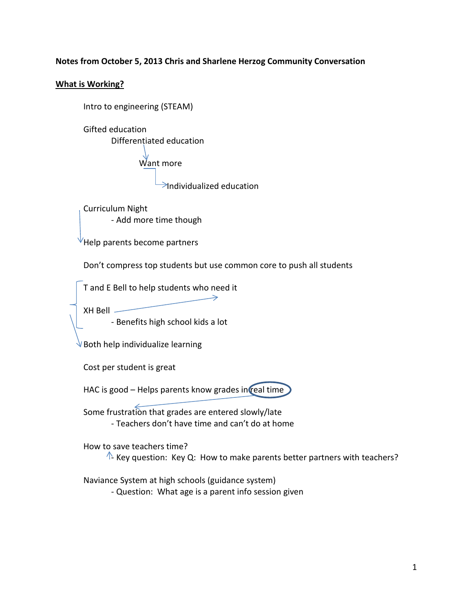## **Notes from October 5, 2013 Chris and Sharlene Herzog Community Conversation**

## **What is Working?**

```
Intro to engineering (STEAM)
```
Gifted education Differentiated education Want more

 $\geq$ Individualized education

Curriculum Night - Add more time though

Help parents become partners

Don't compress top students but use common core to push all students

 $\rightarrow$ 

T and E Bell to help students who need it

XH Bell

- Benefits high school kids a lot

Both help individualize learning

Cost per student is great

HAC is good – Helps parents know grades in real time

Some frustration that grades are entered slowly/late - Teachers don't have time and can't do at home

How to save teachers time?

 $\Lambda$  Key question: Key Q: How to make parents better partners with teachers?

Naviance System at high schools (guidance system)

- Question: What age is a parent info session given